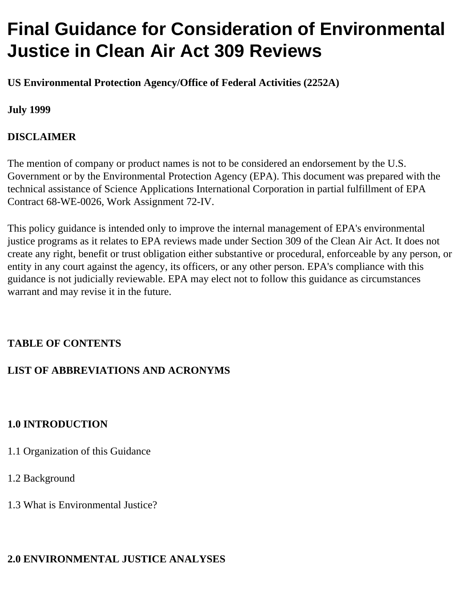# **Final Guidance for Consideration of Environmental Justice in Clean Air Act 309 Reviews**

**US Environmental Protection Agency/Office of Federal Activities (2252A)** 

#### **July 1999**

### **DISCLAIMER**

The mention of company or product names is not to be considered an endorsement by the U.S. Government or by the Environmental Protection Agency (EPA). This document was prepared with the technical assistance of Science Applications International Corporation in partial fulfillment of EPA Contract 68-WE-0026, Work Assignment 72-IV.

This policy guidance is intended only to improve the internal management of EPA's environmental justice programs as it relates to EPA reviews made under Section 309 of the Clean Air Act. It does not create any right, benefit or trust obligation either substantive or procedural, enforceable by any person, or entity in any court against the agency, its officers, or any other person. EPA's compliance with this guidance is not judicially reviewable. EPA may elect not to follow this guidance as circumstances warrant and may revise it in the future.

## **TABLE OF CONTENTS**

#### **LIST OF ABBREVIATIONS AND ACRONYMS**

#### **1.0 INTRODUCTION**

- 1.1 Organization of this Guidance
- 1.2 Background
- 1.3 What is Environmental Justice?

#### **2.0 ENVIRONMENTAL JUSTICE ANALYSES**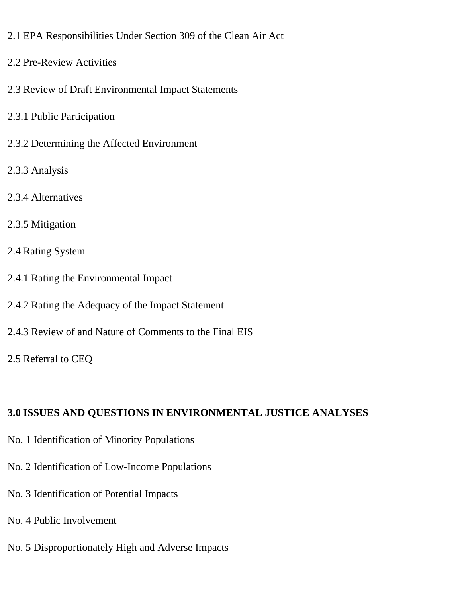- 2.1 EPA Responsibilities Under Section 309 of the Clean Air Act
- 2.2 Pre-Review Activities
- 2.3 Review of Draft Environmental Impact Statements
- 2.3.1 Public Participation
- 2.3.2 Determining the Affected Environment
- 2.3.3 Analysis
- 2.3.4 Alternatives
- 2.3.5 Mitigation
- 2.4 Rating System
- 2.4.1 Rating the Environmental Impact
- 2.4.2 Rating the Adequacy of the Impact Statement
- 2.4.3 Review of and Nature of Comments to the Final EIS
- 2.5 Referral to CEQ

## **3.0 ISSUES AND QUESTIONS IN ENVIRONMENTAL JUSTICE ANALYSES**

- No. 1 Identification of Minority Populations
- No. 2 Identification of Low-Income Populations
- No. 3 Identification of Potential Impacts
- No. 4 Public Involvement
- No. 5 Disproportionately High and Adverse Impacts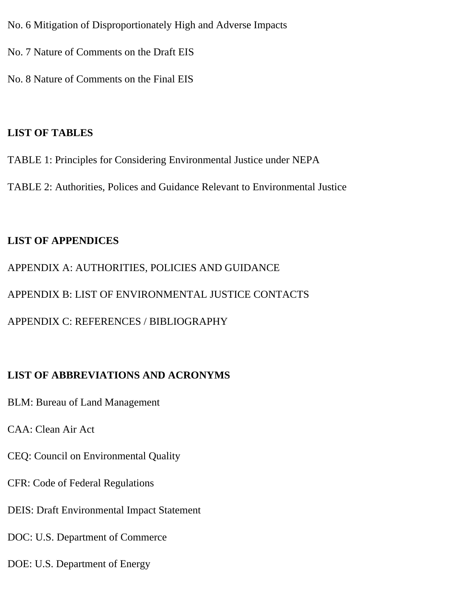- No. 6 Mitigation of Disproportionately High and Adverse Impacts
- No. 7 Nature of Comments on the Draft EIS
- No. 8 Nature of Comments on the Final EIS

#### **LIST OF TABLES**

- TABLE 1: Principles for Considering Environmental Justice under NEPA
- TABLE 2: Authorities, Polices and Guidance Relevant to Environmental Justice

#### **LIST OF APPENDICES**

APPENDIX A: AUTHORITIES, POLICIES AND GUIDANCE APPENDIX B: LIST OF ENVIRONMENTAL JUSTICE CONTACTS APPENDIX C: REFERENCES / BIBLIOGRAPHY

#### **LIST OF ABBREVIATIONS AND ACRONYMS**

- BLM: Bureau of Land Management
- CAA: Clean Air Act
- CEQ: Council on Environmental Quality
- CFR: Code of Federal Regulations
- DEIS: Draft Environmental Impact Statement
- DOC: U.S. Department of Commerce
- DOE: U.S. Department of Energy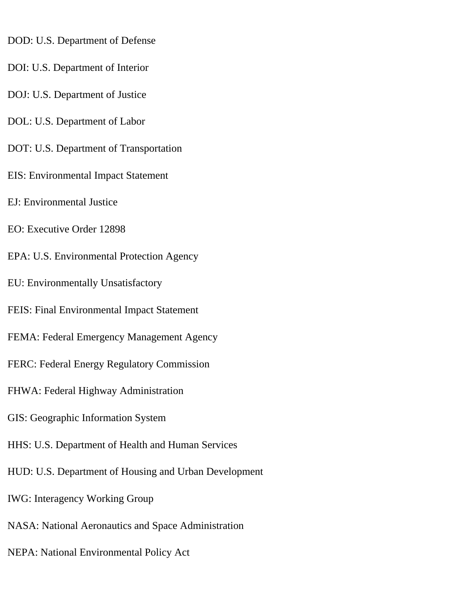- DOD: U.S. Department of Defense
- DOI: U.S. Department of Interior
- DOJ: U.S. Department of Justice
- DOL: U.S. Department of Labor
- DOT: U.S. Department of Transportation
- EIS: Environmental Impact Statement
- EJ: Environmental Justice
- EO: Executive Order 12898
- EPA: U.S. Environmental Protection Agency
- EU: Environmentally Unsatisfactory
- FEIS: Final Environmental Impact Statement
- FEMA: Federal Emergency Management Agency
- FERC: Federal Energy Regulatory Commission
- FHWA: Federal Highway Administration
- GIS: Geographic Information System
- HHS: U.S. Department of Health and Human Services
- HUD: U.S. Department of Housing and Urban Development
- IWG: Interagency Working Group
- NASA: National Aeronautics and Space Administration
- NEPA: National Environmental Policy Act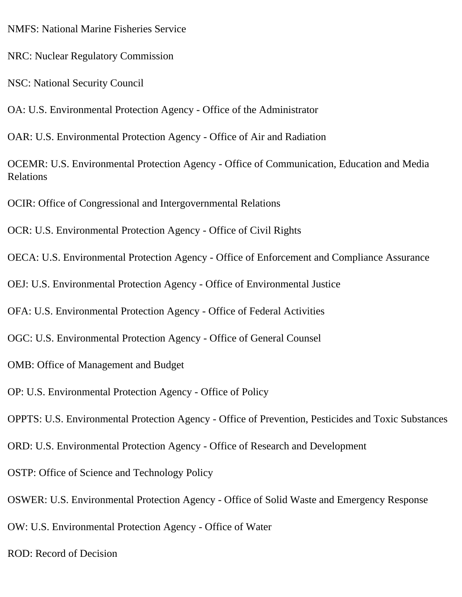NMFS: National Marine Fisheries Service

NRC: Nuclear Regulatory Commission

NSC: National Security Council

OA: U.S. Environmental Protection Agency - Office of the Administrator

OAR: U.S. Environmental Protection Agency - Office of Air and Radiation

OCEMR: U.S. Environmental Protection Agency - Office of Communication, Education and Media Relations

OCIR: Office of Congressional and Intergovernmental Relations

OCR: U.S. Environmental Protection Agency - Office of Civil Rights

OECA: U.S. Environmental Protection Agency - Office of Enforcement and Compliance Assurance

OEJ: U.S. Environmental Protection Agency - Office of Environmental Justice

OFA: U.S. Environmental Protection Agency - Office of Federal Activities

OGC: U.S. Environmental Protection Agency - Office of General Counsel

OMB: Office of Management and Budget

OP: U.S. Environmental Protection Agency - Office of Policy

OPPTS: U.S. Environmental Protection Agency - Office of Prevention, Pesticides and Toxic Substances

ORD: U.S. Environmental Protection Agency - Office of Research and Development

OSTP: Office of Science and Technology Policy

OSWER: U.S. Environmental Protection Agency - Office of Solid Waste and Emergency Response

OW: U.S. Environmental Protection Agency - Office of Water

ROD: Record of Decision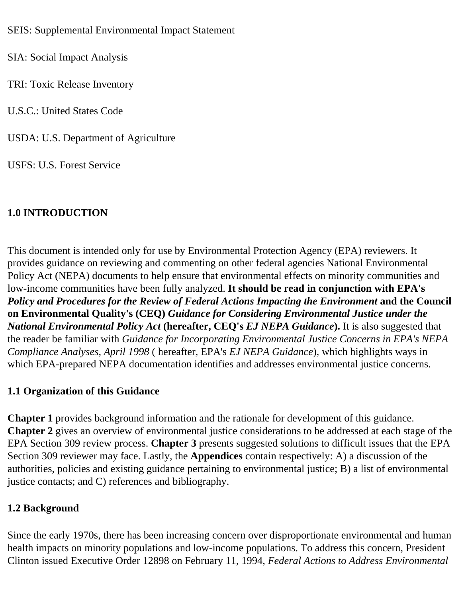SEIS: Supplemental Environmental Impact Statement

SIA: Social Impact Analysis

TRI: Toxic Release Inventory

U.S.C.: United States Code

USDA: U.S. Department of Agriculture

USFS: U.S. Forest Service

## **1.0 INTRODUCTION**

This document is intended only for use by Environmental Protection Agency (EPA) reviewers. It provides guidance on reviewing and commenting on other federal agencies National Environmental Policy Act (NEPA) documents to help ensure that environmental effects on minority communities and low-income communities have been fully analyzed. **It should be read in conjunction with EPA's**  *Policy and Procedures for the Review of Federal Actions Impacting the Environment* **and the Council on Environmental Quality's (CEQ)** *Guidance for Considering Environmental Justice under the National Environmental Policy Act* **(hereafter, CEQ's** *EJ NEPA Guidance***).** It is also suggested that the reader be familiar with *Guidance for Incorporating Environmental Justice Concerns in EPA's NEPA Compliance Analyses, April 1998* ( hereafter, EPA's *EJ NEPA Guidance*), which highlights ways in which EPA-prepared NEPA documentation identifies and addresses environmental justice concerns.

## **1.1 Organization of this Guidance**

**Chapter 1** provides background information and the rationale for development of this guidance. **Chapter 2** gives an overview of environmental justice considerations to be addressed at each stage of the EPA Section 309 review process. **Chapter 3** presents suggested solutions to difficult issues that the EPA Section 309 reviewer may face. Lastly, the **Appendices** contain respectively: A) a discussion of the authorities, policies and existing guidance pertaining to environmental justice; B) a list of environmental justice contacts; and C) references and bibliography.

## **1.2 Background**

Since the early 1970s, there has been increasing concern over disproportionate environmental and human health impacts on minority populations and low-income populations. To address this concern, President Clinton issued Executive Order 12898 on February 11, 1994, *Federal Actions to Address Environmental*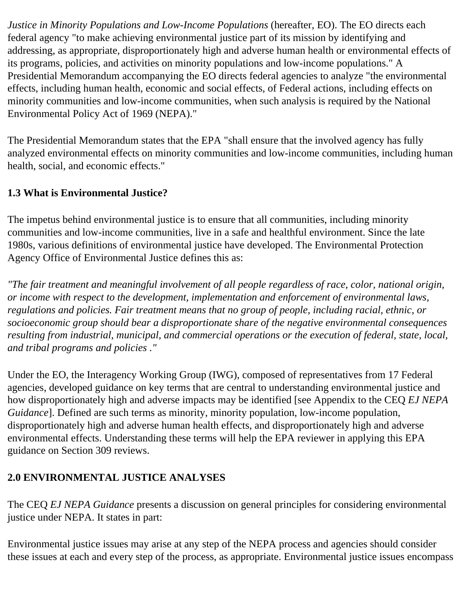*Justice in Minority Populations and Low-Income Populations* (hereafter, EO). The EO directs each federal agency "to make achieving environmental justice part of its mission by identifying and addressing, as appropriate, disproportionately high and adverse human health or environmental effects of its programs, policies, and activities on minority populations and low-income populations." A Presidential Memorandum accompanying the EO directs federal agencies to analyze "the environmental effects, including human health, economic and social effects, of Federal actions, including effects on minority communities and low-income communities, when such analysis is required by the National Environmental Policy Act of 1969 (NEPA)."

The Presidential Memorandum states that the EPA "shall ensure that the involved agency has fully analyzed environmental effects on minority communities and low-income communities, including human health, social, and economic effects."

### **1.3 What is Environmental Justice?**

The impetus behind environmental justice is to ensure that all communities, including minority communities and low-income communities, live in a safe and healthful environment. Since the late 1980s, various definitions of environmental justice have developed. The Environmental Protection Agency Office of Environmental Justice defines this as:

*"The fair treatment and meaningful involvement of all people regardless of race, color, national origin, or income with respect to the development, implementation and enforcement of environmental laws, regulations and policies. Fair treatment means that no group of people, including racial, ethnic, or socioeconomic group should bear a disproportionate share of the negative environmental consequences resulting from industrial, municipal, and commercial operations or the execution of federal, state, local, and tribal programs and policies ."* 

Under the EO, the Interagency Working Group (IWG), composed of representatives from 17 Federal agencies, developed guidance on key terms that are central to understanding environmental justice and how disproportionately high and adverse impacts may be identified [see Appendix to the CEQ *EJ NEPA Guidance*]. Defined are such terms as minority, minority population, low-income population, disproportionately high and adverse human health effects, and disproportionately high and adverse environmental effects. Understanding these terms will help the EPA reviewer in applying this EPA guidance on Section 309 reviews.

## **2.0 ENVIRONMENTAL JUSTICE ANALYSES**

The CEQ *EJ NEPA Guidance* presents a discussion on general principles for considering environmental justice under NEPA. It states in part:

Environmental justice issues may arise at any step of the NEPA process and agencies should consider these issues at each and every step of the process, as appropriate. Environmental justice issues encompass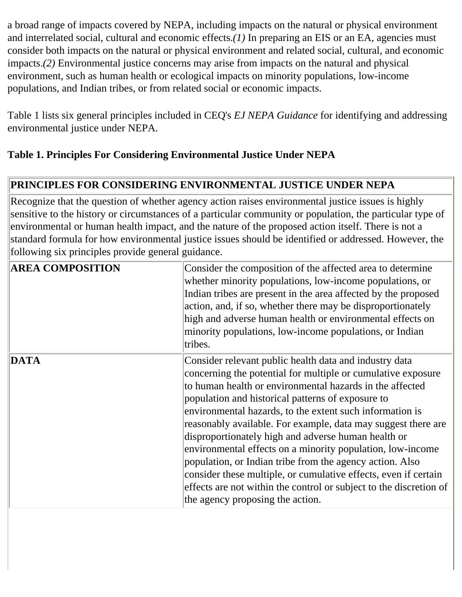a broad range of impacts covered by NEPA, including impacts on the natural or physical environment and interrelated social, cultural and economic effects.*(1)* In preparing an EIS or an EA, agencies must consider both impacts on the natural or physical environment and related social, cultural, and economic impacts.*(2)* Environmental justice concerns may arise from impacts on the natural and physical environment, such as human health or ecological impacts on minority populations, low-income populations, and Indian tribes, or from related social or economic impacts.

Table 1 lists six general principles included in CEQ's *EJ NEPA Guidance* for identifying and addressing environmental justice under NEPA.

## **Table 1. Principles For Considering Environmental Justice Under NEPA**

#### **PRINCIPLES FOR CONSIDERING ENVIRONMENTAL JUSTICE UNDER NEPA**

Recognize that the question of whether agency action raises environmental justice issues is highly sensitive to the history or circumstances of a particular community or population, the particular type of environmental or human health impact, and the nature of the proposed action itself. There is not a standard formula for how environmental justice issues should be identified or addressed. However, the following six principles provide general guidance.

| <b>AREA COMPOSITION</b> | Consider the composition of the affected area to determine<br>whether minority populations, low-income populations, or<br>Indian tribes are present in the area affected by the proposed<br>action, and, if so, whether there may be disproportionately<br>high and adverse human health or environmental effects on<br>minority populations, low-income populations, or Indian<br>tribes.                                                                                                                                                                                                                                                                                                                                         |
|-------------------------|------------------------------------------------------------------------------------------------------------------------------------------------------------------------------------------------------------------------------------------------------------------------------------------------------------------------------------------------------------------------------------------------------------------------------------------------------------------------------------------------------------------------------------------------------------------------------------------------------------------------------------------------------------------------------------------------------------------------------------|
| DATA                    | Consider relevant public health data and industry data<br>concerning the potential for multiple or cumulative exposure<br>to human health or environmental hazards in the affected<br>population and historical patterns of exposure to<br>environmental hazards, to the extent such information is<br>reasonably available. For example, data may suggest there are<br>disproportionately high and adverse human health or<br>environmental effects on a minority population, low-income<br>population, or Indian tribe from the agency action. Also<br>consider these multiple, or cumulative effects, even if certain<br>effects are not within the control or subject to the discretion of<br>the agency proposing the action. |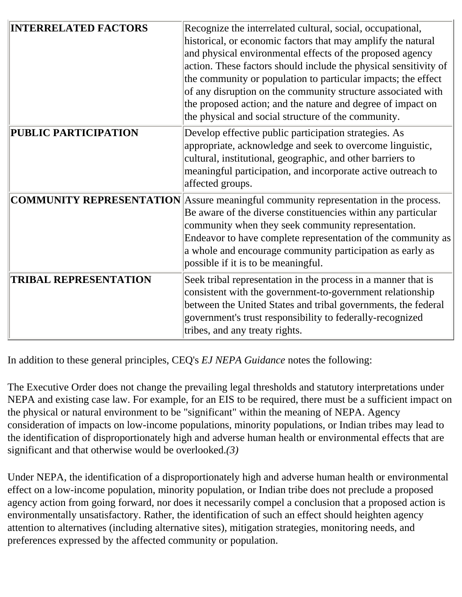| <b>INTERRELATED FACTORS</b>  | Recognize the interrelated cultural, social, occupational,<br>historical, or economic factors that may amplify the natural<br>and physical environmental effects of the proposed agency<br>action. These factors should include the physical sensitivity of<br>the community or population to particular impacts; the effect                                                         |
|------------------------------|--------------------------------------------------------------------------------------------------------------------------------------------------------------------------------------------------------------------------------------------------------------------------------------------------------------------------------------------------------------------------------------|
|                              | of any disruption on the community structure associated with<br>the proposed action; and the nature and degree of impact on<br>the physical and social structure of the community.                                                                                                                                                                                                   |
| PUBLIC PARTICIPATION         | Develop effective public participation strategies. As<br>appropriate, acknowledge and seek to overcome linguistic,<br>cultural, institutional, geographic, and other barriers to<br>meaningful participation, and incorporate active outreach to<br>affected groups.                                                                                                                 |
|                              | <b>COMMUNITY REPRESENTATION</b> Assure meaningful community representation in the process.<br>Be aware of the diverse constituencies within any particular<br>community when they seek community representation.<br>Endeavor to have complete representation of the community as<br>a whole and encourage community participation as early as<br>possible if it is to be meaningful. |
| <b>TRIBAL REPRESENTATION</b> | Seek tribal representation in the process in a manner that is<br>consistent with the government-to-government relationship<br>between the United States and tribal governments, the federal<br>government's trust responsibility to federally-recognized<br>tribes, and any treaty rights.                                                                                           |

In addition to these general principles, CEQ's *EJ NEPA Guidance* notes the following:

The Executive Order does not change the prevailing legal thresholds and statutory interpretations under NEPA and existing case law. For example, for an EIS to be required, there must be a sufficient impact on the physical or natural environment to be "significant" within the meaning of NEPA. Agency consideration of impacts on low-income populations, minority populations, or Indian tribes may lead to the identification of disproportionately high and adverse human health or environmental effects that are significant and that otherwise would be overlooked.*(3)* 

Under NEPA, the identification of a disproportionately high and adverse human health or environmental effect on a low-income population, minority population, or Indian tribe does not preclude a proposed agency action from going forward, nor does it necessarily compel a conclusion that a proposed action is environmentally unsatisfactory. Rather, the identification of such an effect should heighten agency attention to alternatives (including alternative sites), mitigation strategies, monitoring needs, and preferences expressed by the affected community or population.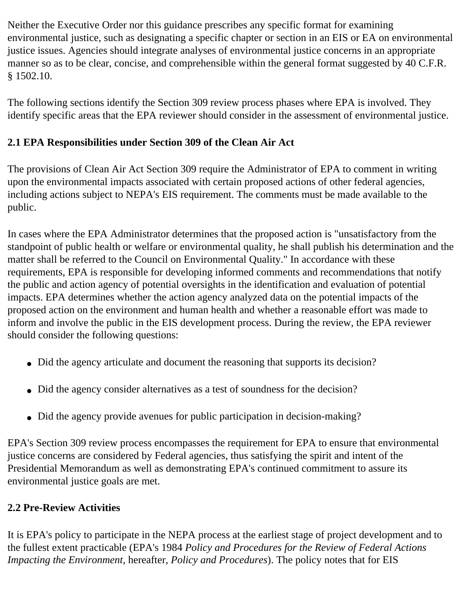Neither the Executive Order nor this guidance prescribes any specific format for examining environmental justice, such as designating a specific chapter or section in an EIS or EA on environmental justice issues. Agencies should integrate analyses of environmental justice concerns in an appropriate manner so as to be clear, concise, and comprehensible within the general format suggested by 40 C.F.R. § 1502.10.

The following sections identify the Section 309 review process phases where EPA is involved. They identify specific areas that the EPA reviewer should consider in the assessment of environmental justice.

## **2.1 EPA Responsibilities under Section 309 of the Clean Air Act**

The provisions of Clean Air Act Section 309 require the Administrator of EPA to comment in writing upon the environmental impacts associated with certain proposed actions of other federal agencies, including actions subject to NEPA's EIS requirement. The comments must be made available to the public.

In cases where the EPA Administrator determines that the proposed action is "unsatisfactory from the standpoint of public health or welfare or environmental quality, he shall publish his determination and the matter shall be referred to the Council on Environmental Quality." In accordance with these requirements, EPA is responsible for developing informed comments and recommendations that notify the public and action agency of potential oversights in the identification and evaluation of potential impacts. EPA determines whether the action agency analyzed data on the potential impacts of the proposed action on the environment and human health and whether a reasonable effort was made to inform and involve the public in the EIS development process. During the review, the EPA reviewer should consider the following questions:

- Did the agency articulate and document the reasoning that supports its decision?
- Did the agency consider alternatives as a test of soundness for the decision?
- Did the agency provide avenues for public participation in decision-making?

EPA's Section 309 review process encompasses the requirement for EPA to ensure that environmental justice concerns are considered by Federal agencies, thus satisfying the spirit and intent of the Presidential Memorandum as well as demonstrating EPA's continued commitment to assure its environmental justice goals are met.

## **2.2 Pre-Review Activities**

It is EPA's policy to participate in the NEPA process at the earliest stage of project development and to the fullest extent practicable (EPA's 1984 *Policy and Procedures for the Review of Federal Actions Impacting the Environment*, hereafter, *Policy and Procedures*). The policy notes that for EIS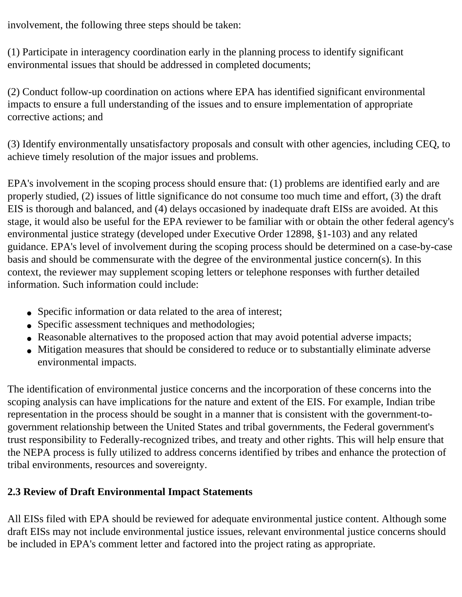involvement, the following three steps should be taken:

(1) Participate in interagency coordination early in the planning process to identify significant environmental issues that should be addressed in completed documents;

(2) Conduct follow-up coordination on actions where EPA has identified significant environmental impacts to ensure a full understanding of the issues and to ensure implementation of appropriate corrective actions; and

(3) Identify environmentally unsatisfactory proposals and consult with other agencies, including CEQ, to achieve timely resolution of the major issues and problems.

EPA's involvement in the scoping process should ensure that: (1) problems are identified early and are properly studied, (2) issues of little significance do not consume too much time and effort, (3) the draft EIS is thorough and balanced, and (4) delays occasioned by inadequate draft EISs are avoided. At this stage, it would also be useful for the EPA reviewer to be familiar with or obtain the other federal agency's environmental justice strategy (developed under Executive Order 12898, §1-103) and any related guidance. EPA's level of involvement during the scoping process should be determined on a case-by-case basis and should be commensurate with the degree of the environmental justice concern(s). In this context, the reviewer may supplement scoping letters or telephone responses with further detailed information. Such information could include:

- Specific information or data related to the area of interest;
- Specific assessment techniques and methodologies;
- Reasonable alternatives to the proposed action that may avoid potential adverse impacts;
- Mitigation measures that should be considered to reduce or to substantially eliminate adverse environmental impacts.

The identification of environmental justice concerns and the incorporation of these concerns into the scoping analysis can have implications for the nature and extent of the EIS. For example, Indian tribe representation in the process should be sought in a manner that is consistent with the government-togovernment relationship between the United States and tribal governments, the Federal government's trust responsibility to Federally-recognized tribes, and treaty and other rights. This will help ensure that the NEPA process is fully utilized to address concerns identified by tribes and enhance the protection of tribal environments, resources and sovereignty.

## **2.3 Review of Draft Environmental Impact Statements**

All EISs filed with EPA should be reviewed for adequate environmental justice content. Although some draft EISs may not include environmental justice issues, relevant environmental justice concerns should be included in EPA's comment letter and factored into the project rating as appropriate.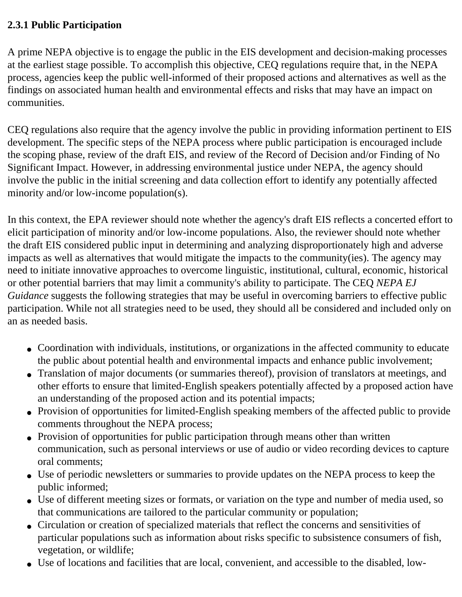#### **2.3.1 Public Participation**

A prime NEPA objective is to engage the public in the EIS development and decision-making processes at the earliest stage possible. To accomplish this objective, CEQ regulations require that, in the NEPA process, agencies keep the public well-informed of their proposed actions and alternatives as well as the findings on associated human health and environmental effects and risks that may have an impact on communities.

CEQ regulations also require that the agency involve the public in providing information pertinent to EIS development. The specific steps of the NEPA process where public participation is encouraged include the scoping phase, review of the draft EIS, and review of the Record of Decision and/or Finding of No Significant Impact. However, in addressing environmental justice under NEPA, the agency should involve the public in the initial screening and data collection effort to identify any potentially affected minority and/or low-income population(s).

In this context, the EPA reviewer should note whether the agency's draft EIS reflects a concerted effort to elicit participation of minority and/or low-income populations. Also, the reviewer should note whether the draft EIS considered public input in determining and analyzing disproportionately high and adverse impacts as well as alternatives that would mitigate the impacts to the community(ies). The agency may need to initiate innovative approaches to overcome linguistic, institutional, cultural, economic, historical or other potential barriers that may limit a community's ability to participate. The CEQ *NEPA EJ Guidance* suggests the following strategies that may be useful in overcoming barriers to effective public participation. While not all strategies need to be used, they should all be considered and included only on an as needed basis.

- Coordination with individuals, institutions, or organizations in the affected community to educate the public about potential health and environmental impacts and enhance public involvement;
- Translation of major documents (or summaries thereof), provision of translators at meetings, and other efforts to ensure that limited-English speakers potentially affected by a proposed action have an understanding of the proposed action and its potential impacts;
- Provision of opportunities for limited-English speaking members of the affected public to provide comments throughout the NEPA process;
- Provision of opportunities for public participation through means other than written communication, such as personal interviews or use of audio or video recording devices to capture oral comments;
- Use of periodic newsletters or summaries to provide updates on the NEPA process to keep the public informed;
- Use of different meeting sizes or formats, or variation on the type and number of media used, so that communications are tailored to the particular community or population;
- Circulation or creation of specialized materials that reflect the concerns and sensitivities of particular populations such as information about risks specific to subsistence consumers of fish, vegetation, or wildlife;
- Use of locations and facilities that are local, convenient, and accessible to the disabled, low-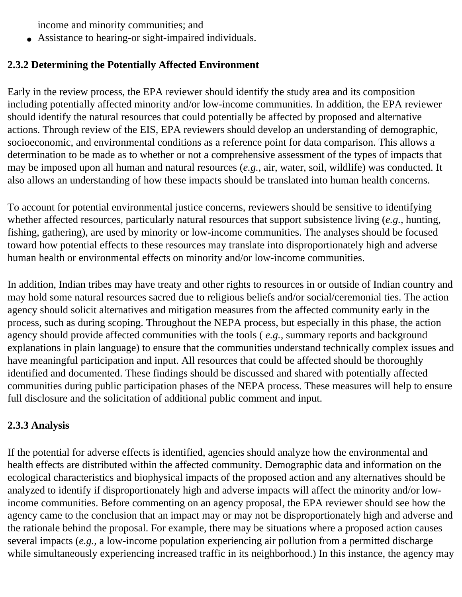income and minority communities; and

● Assistance to hearing-or sight-impaired individuals.

### **2.3.2 Determining the Potentially Affected Environment**

Early in the review process, the EPA reviewer should identify the study area and its composition including potentially affected minority and/or low-income communities. In addition, the EPA reviewer should identify the natural resources that could potentially be affected by proposed and alternative actions. Through review of the EIS, EPA reviewers should develop an understanding of demographic, socioeconomic, and environmental conditions as a reference point for data comparison. This allows a determination to be made as to whether or not a comprehensive assessment of the types of impacts that may be imposed upon all human and natural resources (*e.g.,* air, water, soil, wildlife) was conducted. It also allows an understanding of how these impacts should be translated into human health concerns.

To account for potential environmental justice concerns, reviewers should be sensitive to identifying whether affected resources, particularly natural resources that support subsistence living (*e.g.*, hunting, fishing, gathering), are used by minority or low-income communities. The analyses should be focused toward how potential effects to these resources may translate into disproportionately high and adverse human health or environmental effects on minority and/or low-income communities.

In addition, Indian tribes may have treaty and other rights to resources in or outside of Indian country and may hold some natural resources sacred due to religious beliefs and/or social/ceremonial ties. The action agency should solicit alternatives and mitigation measures from the affected community early in the process, such as during scoping. Throughout the NEPA process, but especially in this phase, the action agency should provide affected communities with the tools ( *e.g.*, summary reports and background explanations in plain language) to ensure that the communities understand technically complex issues and have meaningful participation and input. All resources that could be affected should be thoroughly identified and documented. These findings should be discussed and shared with potentially affected communities during public participation phases of the NEPA process. These measures will help to ensure full disclosure and the solicitation of additional public comment and input.

#### **2.3.3 Analysis**

If the potential for adverse effects is identified, agencies should analyze how the environmental and health effects are distributed within the affected community. Demographic data and information on the ecological characteristics and biophysical impacts of the proposed action and any alternatives should be analyzed to identify if disproportionately high and adverse impacts will affect the minority and/or lowincome communities. Before commenting on an agency proposal, the EPA reviewer should see how the agency came to the conclusion that an impact may or may not be disproportionately high and adverse and the rationale behind the proposal. For example, there may be situations where a proposed action causes several impacts (*e.g.*, a low-income population experiencing air pollution from a permitted discharge while simultaneously experiencing increased traffic in its neighborhood.) In this instance, the agency may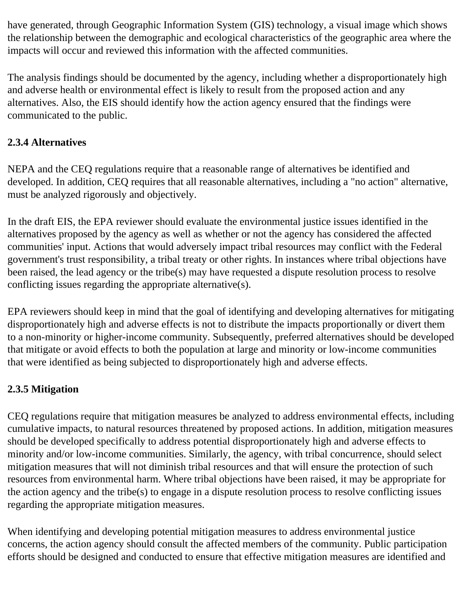have generated, through Geographic Information System (GIS) technology, a visual image which shows the relationship between the demographic and ecological characteristics of the geographic area where the impacts will occur and reviewed this information with the affected communities.

The analysis findings should be documented by the agency, including whether a disproportionately high and adverse health or environmental effect is likely to result from the proposed action and any alternatives. Also, the EIS should identify how the action agency ensured that the findings were communicated to the public.

## **2.3.4 Alternatives**

NEPA and the CEQ regulations require that a reasonable range of alternatives be identified and developed. In addition, CEQ requires that all reasonable alternatives, including a "no action" alternative, must be analyzed rigorously and objectively.

In the draft EIS, the EPA reviewer should evaluate the environmental justice issues identified in the alternatives proposed by the agency as well as whether or not the agency has considered the affected communities' input. Actions that would adversely impact tribal resources may conflict with the Federal government's trust responsibility, a tribal treaty or other rights. In instances where tribal objections have been raised, the lead agency or the tribe(s) may have requested a dispute resolution process to resolve conflicting issues regarding the appropriate alternative(s).

EPA reviewers should keep in mind that the goal of identifying and developing alternatives for mitigating disproportionately high and adverse effects is not to distribute the impacts proportionally or divert them to a non-minority or higher-income community. Subsequently, preferred alternatives should be developed that mitigate or avoid effects to both the population at large and minority or low-income communities that were identified as being subjected to disproportionately high and adverse effects.

## **2.3.5 Mitigation**

CEQ regulations require that mitigation measures be analyzed to address environmental effects, including cumulative impacts, to natural resources threatened by proposed actions. In addition, mitigation measures should be developed specifically to address potential disproportionately high and adverse effects to minority and/or low-income communities. Similarly, the agency, with tribal concurrence, should select mitigation measures that will not diminish tribal resources and that will ensure the protection of such resources from environmental harm. Where tribal objections have been raised, it may be appropriate for the action agency and the tribe(s) to engage in a dispute resolution process to resolve conflicting issues regarding the appropriate mitigation measures.

When identifying and developing potential mitigation measures to address environmental justice concerns, the action agency should consult the affected members of the community. Public participation efforts should be designed and conducted to ensure that effective mitigation measures are identified and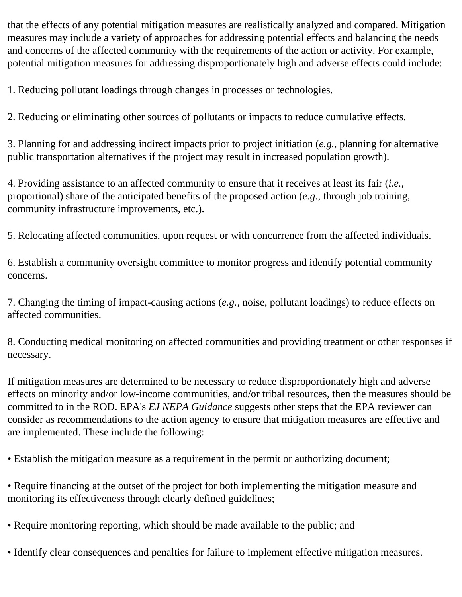that the effects of any potential mitigation measures are realistically analyzed and compared. Mitigation measures may include a variety of approaches for addressing potential effects and balancing the needs and concerns of the affected community with the requirements of the action or activity. For example, potential mitigation measures for addressing disproportionately high and adverse effects could include:

1. Reducing pollutant loadings through changes in processes or technologies.

2. Reducing or eliminating other sources of pollutants or impacts to reduce cumulative effects.

3. Planning for and addressing indirect impacts prior to project initiation (*e.g.,* planning for alternative public transportation alternatives if the project may result in increased population growth).

4. Providing assistance to an affected community to ensure that it receives at least its fair (*i.e.,*  proportional) share of the anticipated benefits of the proposed action (*e.g.,* through job training, community infrastructure improvements, etc.).

5. Relocating affected communities, upon request or with concurrence from the affected individuals.

6. Establish a community oversight committee to monitor progress and identify potential community concerns.

7. Changing the timing of impact-causing actions (*e.g.,* noise, pollutant loadings) to reduce effects on affected communities.

8. Conducting medical monitoring on affected communities and providing treatment or other responses if necessary.

If mitigation measures are determined to be necessary to reduce disproportionately high and adverse effects on minority and/or low-income communities, and/or tribal resources, then the measures should be committed to in the ROD. EPA's *EJ NEPA Guidance* suggests other steps that the EPA reviewer can consider as recommendations to the action agency to ensure that mitigation measures are effective and are implemented. These include the following:

• Establish the mitigation measure as a requirement in the permit or authorizing document;

• Require financing at the outset of the project for both implementing the mitigation measure and monitoring its effectiveness through clearly defined guidelines;

• Require monitoring reporting, which should be made available to the public; and

• Identify clear consequences and penalties for failure to implement effective mitigation measures.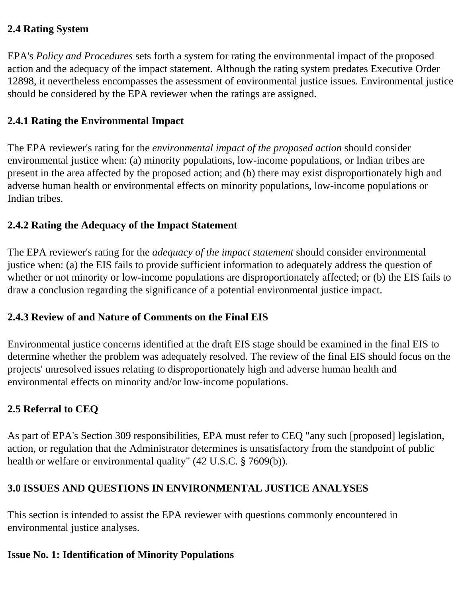#### **2.4 Rating System**

EPA's *Policy and Procedures* sets forth a system for rating the environmental impact of the proposed action and the adequacy of the impact statement. Although the rating system predates Executive Order 12898, it nevertheless encompasses the assessment of environmental justice issues. Environmental justice should be considered by the EPA reviewer when the ratings are assigned.

#### **2.4.1 Rating the Environmental Impact**

The EPA reviewer's rating for the *environmental impact of the proposed action* should consider environmental justice when: (a) minority populations, low-income populations, or Indian tribes are present in the area affected by the proposed action; and (b) there may exist disproportionately high and adverse human health or environmental effects on minority populations, low-income populations or Indian tribes.

#### **2.4.2 Rating the Adequacy of the Impact Statement**

The EPA reviewer's rating for the *adequacy of the impact statement* should consider environmental justice when: (a) the EIS fails to provide sufficient information to adequately address the question of whether or not minority or low-income populations are disproportionately affected; or (b) the EIS fails to draw a conclusion regarding the significance of a potential environmental justice impact.

#### **2.4.3 Review of and Nature of Comments on the Final EIS**

Environmental justice concerns identified at the draft EIS stage should be examined in the final EIS to determine whether the problem was adequately resolved. The review of the final EIS should focus on the projects' unresolved issues relating to disproportionately high and adverse human health and environmental effects on minority and/or low-income populations.

#### **2.5 Referral to CEQ**

As part of EPA's Section 309 responsibilities, EPA must refer to CEQ "any such [proposed] legislation, action, or regulation that the Administrator determines is unsatisfactory from the standpoint of public health or welfare or environmental quality" (42 U.S.C. § 7609(b)).

#### **3.0 ISSUES AND QUESTIONS IN ENVIRONMENTAL JUSTICE ANALYSES**

This section is intended to assist the EPA reviewer with questions commonly encountered in environmental justice analyses.

## **Issue No. 1: Identification of Minority Populations**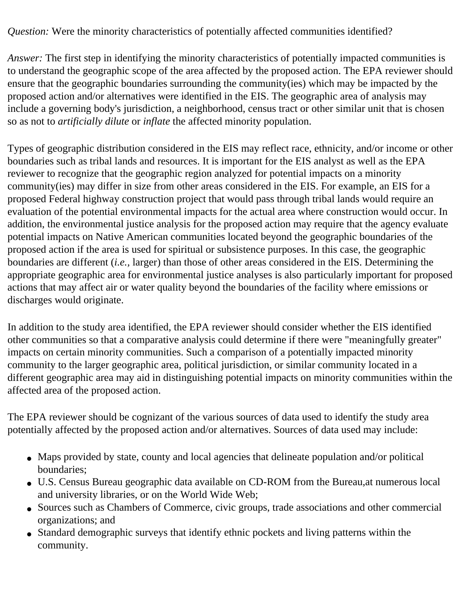*Question:* Were the minority characteristics of potentially affected communities identified?

*Answer:* The first step in identifying the minority characteristics of potentially impacted communities is to understand the geographic scope of the area affected by the proposed action. The EPA reviewer should ensure that the geographic boundaries surrounding the community(ies) which may be impacted by the proposed action and/or alternatives were identified in the EIS. The geographic area of analysis may include a governing body's jurisdiction, a neighborhood, census tract or other similar unit that is chosen so as not to *artificially dilute* or *inflate* the affected minority population.

Types of geographic distribution considered in the EIS may reflect race, ethnicity, and/or income or other boundaries such as tribal lands and resources. It is important for the EIS analyst as well as the EPA reviewer to recognize that the geographic region analyzed for potential impacts on a minority community(ies) may differ in size from other areas considered in the EIS. For example, an EIS for a proposed Federal highway construction project that would pass through tribal lands would require an evaluation of the potential environmental impacts for the actual area where construction would occur. In addition, the environmental justice analysis for the proposed action may require that the agency evaluate potential impacts on Native American communities located beyond the geographic boundaries of the proposed action if the area is used for spiritual or subsistence purposes. In this case, the geographic boundaries are different (*i.e.,* larger) than those of other areas considered in the EIS. Determining the appropriate geographic area for environmental justice analyses is also particularly important for proposed actions that may affect air or water quality beyond the boundaries of the facility where emissions or discharges would originate.

In addition to the study area identified, the EPA reviewer should consider whether the EIS identified other communities so that a comparative analysis could determine if there were "meaningfully greater" impacts on certain minority communities. Such a comparison of a potentially impacted minority community to the larger geographic area, political jurisdiction, or similar community located in a different geographic area may aid in distinguishing potential impacts on minority communities within the affected area of the proposed action.

The EPA reviewer should be cognizant of the various sources of data used to identify the study area potentially affected by the proposed action and/or alternatives. Sources of data used may include:

- Maps provided by state, county and local agencies that delineate population and/or political boundaries;
- U.S. Census Bureau geographic data available on CD-ROM from the Bureau,at numerous local and university libraries, or on the World Wide Web;
- Sources such as Chambers of Commerce, civic groups, trade associations and other commercial organizations; and
- Standard demographic surveys that identify ethnic pockets and living patterns within the community.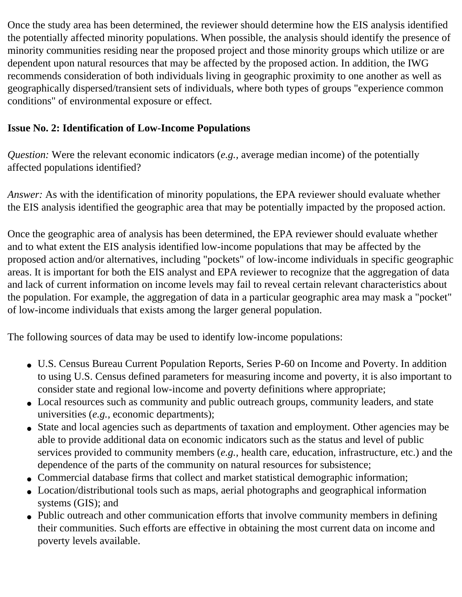Once the study area has been determined, the reviewer should determine how the EIS analysis identified the potentially affected minority populations. When possible, the analysis should identify the presence of minority communities residing near the proposed project and those minority groups which utilize or are dependent upon natural resources that may be affected by the proposed action. In addition, the IWG recommends consideration of both individuals living in geographic proximity to one another as well as geographically dispersed/transient sets of individuals, where both types of groups "experience common conditions" of environmental exposure or effect.

### **Issue No. 2: Identification of Low-Income Populations**

*Question:* Were the relevant economic indicators (*e.g.,* average median income) of the potentially affected populations identified?

*Answer:* As with the identification of minority populations, the EPA reviewer should evaluate whether the EIS analysis identified the geographic area that may be potentially impacted by the proposed action.

Once the geographic area of analysis has been determined, the EPA reviewer should evaluate whether and to what extent the EIS analysis identified low-income populations that may be affected by the proposed action and/or alternatives, including "pockets" of low-income individuals in specific geographic areas. It is important for both the EIS analyst and EPA reviewer to recognize that the aggregation of data and lack of current information on income levels may fail to reveal certain relevant characteristics about the population. For example, the aggregation of data in a particular geographic area may mask a "pocket" of low-income individuals that exists among the larger general population.

The following sources of data may be used to identify low-income populations:

- U.S. Census Bureau Current Population Reports, Series P-60 on Income and Poverty. In addition to using U.S. Census defined parameters for measuring income and poverty, it is also important to consider state and regional low-income and poverty definitions where appropriate;
- Local resources such as community and public outreach groups, community leaders, and state universities (*e.g.,* economic departments);
- State and local agencies such as departments of taxation and employment. Other agencies may be able to provide additional data on economic indicators such as the status and level of public services provided to community members (*e.g.,* health care, education, infrastructure, etc.) and the dependence of the parts of the community on natural resources for subsistence;
- Commercial database firms that collect and market statistical demographic information;
- Location/distributional tools such as maps, aerial photographs and geographical information systems (GIS); and
- Public outreach and other communication efforts that involve community members in defining their communities. Such efforts are effective in obtaining the most current data on income and poverty levels available.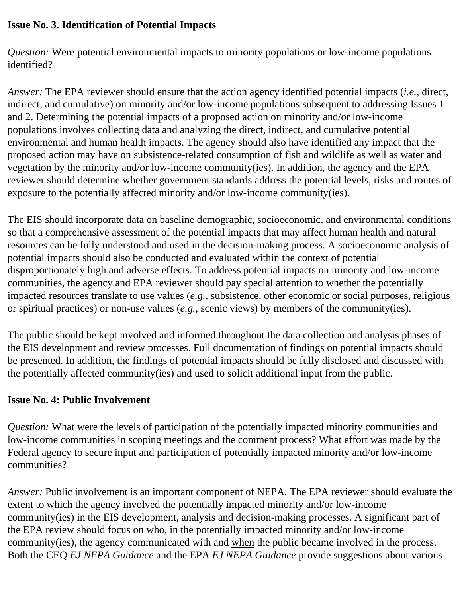#### **Issue No. 3. Identification of Potential Impacts**

*Question:* Were potential environmental impacts to minority populations or low-income populations identified?

*Answer:* The EPA reviewer should ensure that the action agency identified potential impacts (*i.e.,* direct, indirect, and cumulative) on minority and/or low-income populations subsequent to addressing Issues 1 and 2. Determining the potential impacts of a proposed action on minority and/or low-income populations involves collecting data and analyzing the direct, indirect, and cumulative potential environmental and human health impacts. The agency should also have identified any impact that the proposed action may have on subsistence-related consumption of fish and wildlife as well as water and vegetation by the minority and/or low-income community(ies). In addition, the agency and the EPA reviewer should determine whether government standards address the potential levels, risks and routes of exposure to the potentially affected minority and/or low-income community(ies).

The EIS should incorporate data on baseline demographic, socioeconomic, and environmental conditions so that a comprehensive assessment of the potential impacts that may affect human health and natural resources can be fully understood and used in the decision-making process. A socioeconomic analysis of potential impacts should also be conducted and evaluated within the context of potential disproportionately high and adverse effects. To address potential impacts on minority and low-income communities, the agency and EPA reviewer should pay special attention to whether the potentially impacted resources translate to use values (*e.g.,* subsistence, other economic or social purposes, religious or spiritual practices) or non-use values (*e.g.*, scenic views) by members of the community(ies).

The public should be kept involved and informed throughout the data collection and analysis phases of the EIS development and review processes. Full documentation of findings on potential impacts should be presented. In addition, the findings of potential impacts should be fully disclosed and discussed with the potentially affected community(ies) and used to solicit additional input from the public.

#### **Issue No. 4: Public Involvement**

*Question:* What were the levels of participation of the potentially impacted minority communities and low-income communities in scoping meetings and the comment process? What effort was made by the Federal agency to secure input and participation of potentially impacted minority and/or low-income communities?

*Answer:* Public involvement is an important component of NEPA. The EPA reviewer should evaluate the extent to which the agency involved the potentially impacted minority and/or low-income community(ies) in the EIS development, analysis and decision-making processes. A significant part of the EPA review should focus on who, in the potentially impacted minority and/or low-income community(ies), the agency communicated with and when the public became involved in the process. Both the CEQ *EJ NEPA Guidance* and the EPA *EJ NEPA Guidance* provide suggestions about various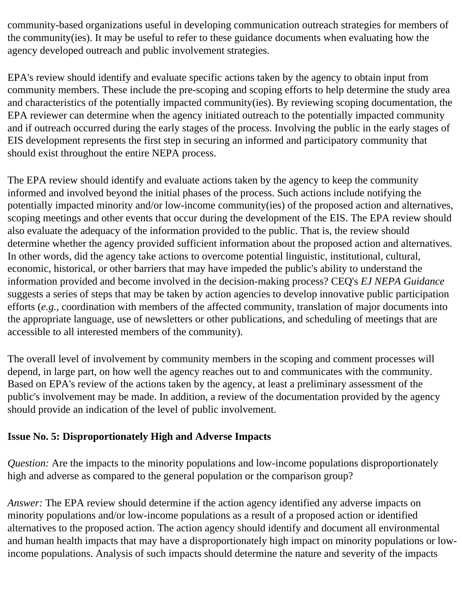community-based organizations useful in developing communication outreach strategies for members of the community(ies). It may be useful to refer to these guidance documents when evaluating how the agency developed outreach and public involvement strategies.

EPA's review should identify and evaluate specific actions taken by the agency to obtain input from community members. These include the pre-scoping and scoping efforts to help determine the study area and characteristics of the potentially impacted community(ies). By reviewing scoping documentation, the EPA reviewer can determine when the agency initiated outreach to the potentially impacted community and if outreach occurred during the early stages of the process. Involving the public in the early stages of EIS development represents the first step in securing an informed and participatory community that should exist throughout the entire NEPA process.

The EPA review should identify and evaluate actions taken by the agency to keep the community informed and involved beyond the initial phases of the process. Such actions include notifying the potentially impacted minority and/or low-income community(ies) of the proposed action and alternatives, scoping meetings and other events that occur during the development of the EIS. The EPA review should also evaluate the adequacy of the information provided to the public. That is, the review should determine whether the agency provided sufficient information about the proposed action and alternatives. In other words, did the agency take actions to overcome potential linguistic, institutional, cultural, economic, historical, or other barriers that may have impeded the public's ability to understand the information provided and become involved in the decision-making process? CEQ's *EJ NEPA Guidance*  suggests a series of steps that may be taken by action agencies to develop innovative public participation efforts (*e.g.,* coordination with members of the affected community, translation of major documents into the appropriate language, use of newsletters or other publications, and scheduling of meetings that are accessible to all interested members of the community).

The overall level of involvement by community members in the scoping and comment processes will depend, in large part, on how well the agency reaches out to and communicates with the community. Based on EPA's review of the actions taken by the agency, at least a preliminary assessment of the public's involvement may be made. In addition, a review of the documentation provided by the agency should provide an indication of the level of public involvement.

#### **Issue No. 5: Disproportionately High and Adverse Impacts**

*Question:* Are the impacts to the minority populations and low-income populations disproportionately high and adverse as compared to the general population or the comparison group?

*Answer:* The EPA review should determine if the action agency identified any adverse impacts on minority populations and/or low-income populations as a result of a proposed action or identified alternatives to the proposed action. The action agency should identify and document all environmental and human health impacts that may have a disproportionately high impact on minority populations or lowincome populations. Analysis of such impacts should determine the nature and severity of the impacts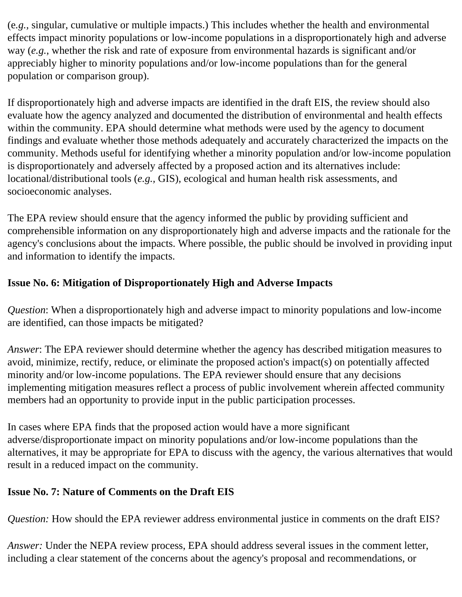(e*.g.,* singular, cumulative or multiple impacts.) This includes whether the health and environmental effects impact minority populations or low-income populations in a disproportionately high and adverse way (*e.g.*, whether the risk and rate of exposure from environmental hazards is significant and/or appreciably higher to minority populations and/or low-income populations than for the general population or comparison group).

If disproportionately high and adverse impacts are identified in the draft EIS, the review should also evaluate how the agency analyzed and documented the distribution of environmental and health effects within the community. EPA should determine what methods were used by the agency to document findings and evaluate whether those methods adequately and accurately characterized the impacts on the community. Methods useful for identifying whether a minority population and/or low-income population is disproportionately and adversely affected by a proposed action and its alternatives include: locational/distributional tools (*e.g.,* GIS), ecological and human health risk assessments, and socioeconomic analyses.

The EPA review should ensure that the agency informed the public by providing sufficient and comprehensible information on any disproportionately high and adverse impacts and the rationale for the agency's conclusions about the impacts. Where possible, the public should be involved in providing input and information to identify the impacts.

## **Issue No. 6: Mitigation of Disproportionately High and Adverse Impacts**

*Question*: When a disproportionately high and adverse impact to minority populations and low-income are identified, can those impacts be mitigated?

*Answer*: The EPA reviewer should determine whether the agency has described mitigation measures to avoid, minimize, rectify, reduce, or eliminate the proposed action's impact(s) on potentially affected minority and/or low-income populations. The EPA reviewer should ensure that any decisions implementing mitigation measures reflect a process of public involvement wherein affected community members had an opportunity to provide input in the public participation processes.

In cases where EPA finds that the proposed action would have a more significant adverse/disproportionate impact on minority populations and/or low-income populations than the alternatives, it may be appropriate for EPA to discuss with the agency, the various alternatives that would result in a reduced impact on the community.

#### **Issue No. 7: Nature of Comments on the Draft EIS**

*Question:* How should the EPA reviewer address environmental justice in comments on the draft EIS?

*Answer:* Under the NEPA review process, EPA should address several issues in the comment letter, including a clear statement of the concerns about the agency's proposal and recommendations, or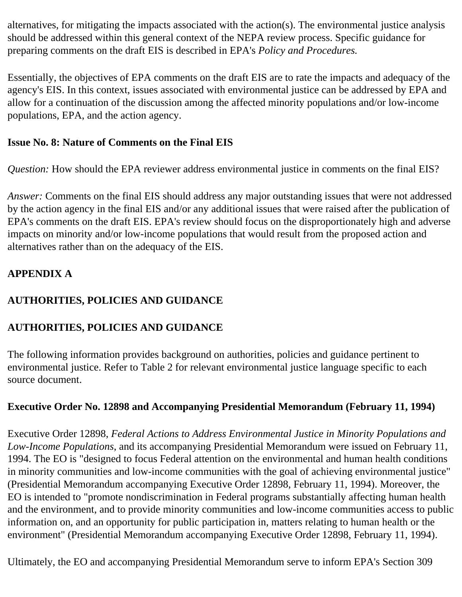alternatives, for mitigating the impacts associated with the action(s). The environmental justice analysis should be addressed within this general context of the NEPA review process. Specific guidance for preparing comments on the draft EIS is described in EPA's *Policy and Procedures.* 

Essentially, the objectives of EPA comments on the draft EIS are to rate the impacts and adequacy of the agency's EIS. In this context, issues associated with environmental justice can be addressed by EPA and allow for a continuation of the discussion among the affected minority populations and/or low-income populations, EPA, and the action agency.

#### **Issue No. 8: Nature of Comments on the Final EIS**

*Question:* How should the EPA reviewer address environmental justice in comments on the final EIS?

*Answer:* Comments on the final EIS should address any major outstanding issues that were not addressed by the action agency in the final EIS and/or any additional issues that were raised after the publication of EPA's comments on the draft EIS. EPA's review should focus on the disproportionately high and adverse impacts on minority and/or low-income populations that would result from the proposed action and alternatives rather than on the adequacy of the EIS.

## **APPENDIX A**

## **AUTHORITIES, POLICIES AND GUIDANCE**

## **AUTHORITIES, POLICIES AND GUIDANCE**

The following information provides background on authorities, policies and guidance pertinent to environmental justice. Refer to Table 2 for relevant environmental justice language specific to each source document.

#### **Executive Order No. 12898 and Accompanying Presidential Memorandum (February 11, 1994)**

Executive Order 12898, *Federal Actions to Address Environmental Justice in Minority Populations and Low-Income Populations*, and its accompanying Presidential Memorandum were issued on February 11, 1994. The EO is "designed to focus Federal attention on the environmental and human health conditions in minority communities and low-income communities with the goal of achieving environmental justice" (Presidential Memorandum accompanying Executive Order 12898, February 11, 1994). Moreover, the EO is intended to "promote nondiscrimination in Federal programs substantially affecting human health and the environment, and to provide minority communities and low-income communities access to public information on, and an opportunity for public participation in, matters relating to human health or the environment" (Presidential Memorandum accompanying Executive Order 12898, February 11, 1994).

Ultimately, the EO and accompanying Presidential Memorandum serve to inform EPA's Section 309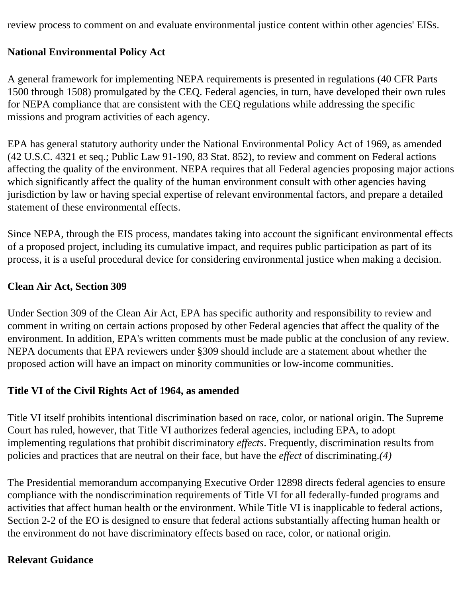review process to comment on and evaluate environmental justice content within other agencies' EISs.

#### **National Environmental Policy Act**

A general framework for implementing NEPA requirements is presented in regulations (40 CFR Parts 1500 through 1508) promulgated by the CEQ. Federal agencies, in turn, have developed their own rules for NEPA compliance that are consistent with the CEQ regulations while addressing the specific missions and program activities of each agency.

EPA has general statutory authority under the National Environmental Policy Act of 1969, as amended (42 U.S.C. 4321 et seq.; Public Law 91-190, 83 Stat. 852), to review and comment on Federal actions affecting the quality of the environment. NEPA requires that all Federal agencies proposing major actions which significantly affect the quality of the human environment consult with other agencies having jurisdiction by law or having special expertise of relevant environmental factors, and prepare a detailed statement of these environmental effects.

Since NEPA, through the EIS process, mandates taking into account the significant environmental effects of a proposed project, including its cumulative impact, and requires public participation as part of its process, it is a useful procedural device for considering environmental justice when making a decision.

#### **Clean Air Act, Section 309**

Under Section 309 of the Clean Air Act, EPA has specific authority and responsibility to review and comment in writing on certain actions proposed by other Federal agencies that affect the quality of the environment. In addition, EPA's written comments must be made public at the conclusion of any review. NEPA documents that EPA reviewers under §309 should include are a statement about whether the proposed action will have an impact on minority communities or low-income communities.

#### **Title VI of the Civil Rights Act of 1964, as amended**

Title VI itself prohibits intentional discrimination based on race, color, or national origin. The Supreme Court has ruled, however, that Title VI authorizes federal agencies, including EPA, to adopt implementing regulations that prohibit discriminatory *effects*. Frequently, discrimination results from policies and practices that are neutral on their face, but have the *effect* of discriminating.*(4)* 

The Presidential memorandum accompanying Executive Order 12898 directs federal agencies to ensure compliance with the nondiscrimination requirements of Title VI for all federally-funded programs and activities that affect human health or the environment. While Title VI is inapplicable to federal actions, Section 2-2 of the EO is designed to ensure that federal actions substantially affecting human health or the environment do not have discriminatory effects based on race, color, or national origin.

#### **Relevant Guidance**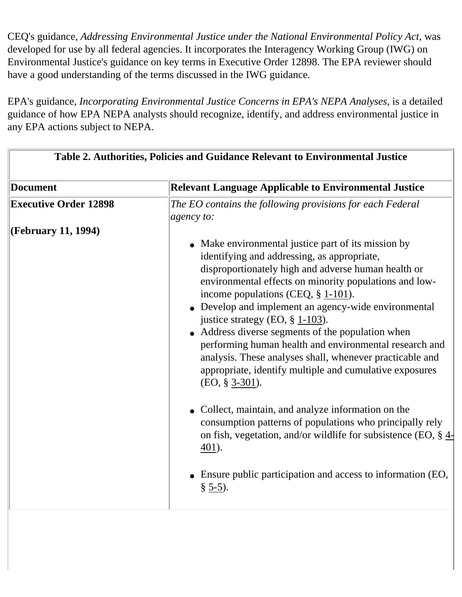CEQ's guidance, *Addressing Environmental Justice under the National Environmental Policy Act*, was developed for use by all federal agencies. It incorporates the Interagency Working Group (IWG) on Environmental Justice's guidance on key terms in Executive Order 12898. The EPA reviewer should have a good understanding of the terms discussed in the IWG guidance.

EPA's guidance, *Incorporating Environmental Justice Concerns in EPA's NEPA Analyses*, is a detailed guidance of how EPA NEPA analysts should recognize, identify, and address environmental justice in any EPA actions subject to NEPA.

| Table 2. Authorities, Policies and Guidance Relevant to Environmental Justice |                                                                                                                                                                                                                                                                                                                                                                                                                                                                                                                                                                                                                                                                                                                                                                                                                                                                                                |
|-------------------------------------------------------------------------------|------------------------------------------------------------------------------------------------------------------------------------------------------------------------------------------------------------------------------------------------------------------------------------------------------------------------------------------------------------------------------------------------------------------------------------------------------------------------------------------------------------------------------------------------------------------------------------------------------------------------------------------------------------------------------------------------------------------------------------------------------------------------------------------------------------------------------------------------------------------------------------------------|
| <b>Document</b>                                                               | <b>Relevant Language Applicable to Environmental Justice</b>                                                                                                                                                                                                                                                                                                                                                                                                                                                                                                                                                                                                                                                                                                                                                                                                                                   |
| <b>Executive Order 12898</b>                                                  | The EO contains the following provisions for each Federal<br>$ a$ gency to:                                                                                                                                                                                                                                                                                                                                                                                                                                                                                                                                                                                                                                                                                                                                                                                                                    |
| (February 11, 1994)                                                           | • Make environmental justice part of its mission by<br>identifying and addressing, as appropriate,<br>disproportionately high and adverse human health or<br>environmental effects on minority populations and low-<br>income populations (CEQ, $\S$ 1-101).<br>• Develop and implement an agency-wide environmental<br>justice strategy (EO, $\S$ 1-103).<br>• Address diverse segments of the population when<br>performing human health and environmental research and<br>analysis. These analyses shall, whenever practicable and<br>appropriate, identify multiple and cumulative exposures<br>$(EO, § 3-301).$<br>• Collect, maintain, and analyze information on the<br>consumption patterns of populations who principally rely<br>on fish, vegetation, and/or wildlife for subsistence (EO, § 4-<br>401).<br>Ensure public participation and access to information (EO,<br>$\S$ 5-5). |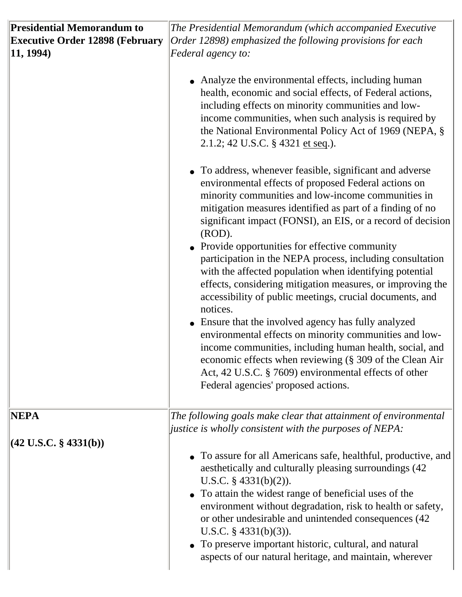| <b>Presidential Memorandum to</b><br><b>Executive Order 12898 (February</b><br>11, 1994) | The Presidential Memorandum (which accompanied Executive<br>Order 12898) emphasized the following provisions for each<br>Federal agency to:<br>• Analyze the environmental effects, including human<br>health, economic and social effects, of Federal actions,<br>including effects on minority communities and low-<br>income communities, when such analysis is required by<br>the National Environmental Policy Act of 1969 (NEPA, §<br>2.1.2; 42 U.S.C. § 4321 et seq.).<br>• To address, whenever feasible, significant and adverse<br>environmental effects of proposed Federal actions on<br>minority communities and low-income communities in<br>mitigation measures identified as part of a finding of no<br>significant impact (FONSI), an EIS, or a record of decision<br>$(ROD)$ .<br>• Provide opportunities for effective community<br>participation in the NEPA process, including consultation<br>with the affected population when identifying potential<br>effects, considering mitigation measures, or improving the<br>accessibility of public meetings, crucial documents, and<br>notices.<br>• Ensure that the involved agency has fully analyzed<br>environmental effects on minority communities and low-<br>income communities, including human health, social, and<br>economic effects when reviewing (§ 309 of the Clean Air<br>Act, 42 U.S.C. § 7609) environmental effects of other<br>Federal agencies' proposed actions. |
|------------------------------------------------------------------------------------------|-----------------------------------------------------------------------------------------------------------------------------------------------------------------------------------------------------------------------------------------------------------------------------------------------------------------------------------------------------------------------------------------------------------------------------------------------------------------------------------------------------------------------------------------------------------------------------------------------------------------------------------------------------------------------------------------------------------------------------------------------------------------------------------------------------------------------------------------------------------------------------------------------------------------------------------------------------------------------------------------------------------------------------------------------------------------------------------------------------------------------------------------------------------------------------------------------------------------------------------------------------------------------------------------------------------------------------------------------------------------------------------------------------------------------------------------------------------|
| NEPA<br>$ (42 \text{ U.S.C. } \S~4331(b))$                                               | The following goals make clear that attainment of environmental<br><i>justice is wholly consistent with the purposes of NEPA:</i><br>• To assure for all Americans safe, healthful, productive, and<br>aesthetically and culturally pleasing surroundings (42)<br>U.S.C. $\S$ 4331(b)(2)).<br>• To attain the widest range of beneficial uses of the<br>environment without degradation, risk to health or safety,<br>or other undesirable and unintended consequences (42<br>U.S.C. $\S$ 4331(b)(3)).<br>• To preserve important historic, cultural, and natural<br>aspects of our natural heritage, and maintain, wherever                                                                                                                                                                                                                                                                                                                                                                                                                                                                                                                                                                                                                                                                                                                                                                                                                              |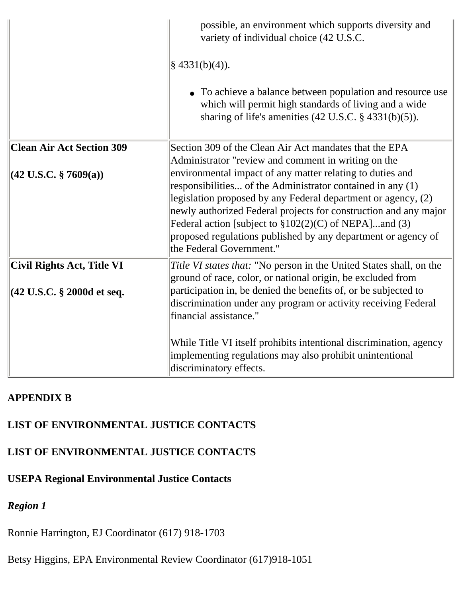|                                        | possible, an environment which supports diversity and<br>variety of individual choice (42 U.S.C.<br>$§$ 4331(b)(4)).<br>• To achieve a balance between population and resource use<br>which will permit high standards of living and a wide<br>sharing of life's amenities $(42 \text{ U.S.C. } § 4331(b)(5))$ .                                                                                                     |
|----------------------------------------|----------------------------------------------------------------------------------------------------------------------------------------------------------------------------------------------------------------------------------------------------------------------------------------------------------------------------------------------------------------------------------------------------------------------|
| <b>Clean Air Act Section 309</b>       | Section 309 of the Clean Air Act mandates that the EPA<br>Administrator "review and comment in writing on the                                                                                                                                                                                                                                                                                                        |
| $ (42 \text{ U.S.C. } \S~7609(a))$     | environmental impact of any matter relating to duties and<br>responsibilities of the Administrator contained in any (1)<br>legislation proposed by any Federal department or agency, (2)<br>newly authorized Federal projects for construction and any major<br>Federal action [subject to $$102(2)(C)$ of NEPA]and (3)<br>proposed regulations published by any department or agency of<br>the Federal Government." |
| Civil Rights Act, Title VI             | Title VI states that: "No person in the United States shall, on the<br>ground of race, color, or national origin, be excluded from                                                                                                                                                                                                                                                                                   |
| $(42 \text{ U.S.C. }$ \$ 2000d et seq. | participation in, be denied the benefits of, or be subjected to<br>discrimination under any program or activity receiving Federal<br>financial assistance."                                                                                                                                                                                                                                                          |
|                                        | While Title VI itself prohibits intentional discrimination, agency<br>implementing regulations may also prohibit unintentional<br>discriminatory effects.                                                                                                                                                                                                                                                            |

#### **APPENDIX B**

#### **LIST OF ENVIRONMENTAL JUSTICE CONTACTS**

#### **LIST OF ENVIRONMENTAL JUSTICE CONTACTS**

#### **USEPA Regional Environmental Justice Contacts**

## *Region 1*

Ronnie Harrington, EJ Coordinator (617) 918-1703

Betsy Higgins, EPA Environmental Review Coordinator (617)918-1051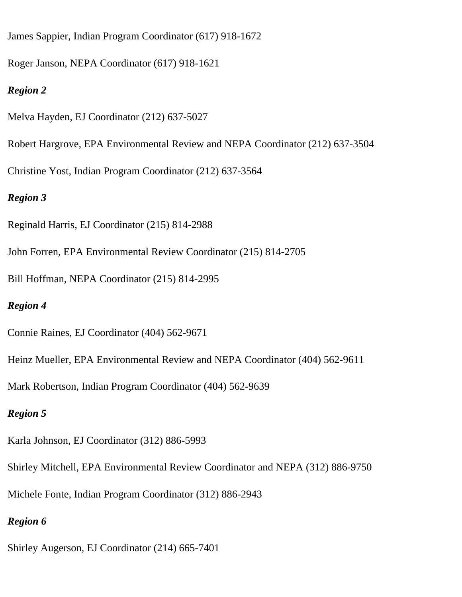James Sappier, Indian Program Coordinator (617) 918-1672

Roger Janson, NEPA Coordinator (617) 918-1621

#### *Region 2*

- Melva Hayden, EJ Coordinator (212) 637-5027
- Robert Hargrove, EPA Environmental Review and NEPA Coordinator (212) 637-3504
- Christine Yost, Indian Program Coordinator (212) 637-3564

## *Region 3*

- Reginald Harris, EJ Coordinator (215) 814-2988
- John Forren, EPA Environmental Review Coordinator (215) 814-2705
- Bill Hoffman, NEPA Coordinator (215) 814-2995

## *Region 4*

- Connie Raines, EJ Coordinator (404) 562-9671
- Heinz Mueller, EPA Environmental Review and NEPA Coordinator (404) 562-9611
- Mark Robertson, Indian Program Coordinator (404) 562-9639

## *Region 5*

- Karla Johnson, EJ Coordinator (312) 886-5993
- Shirley Mitchell, EPA Environmental Review Coordinator and NEPA (312) 886-9750
- Michele Fonte, Indian Program Coordinator (312) 886-2943

## *Region 6*

Shirley Augerson, EJ Coordinator (214) 665-7401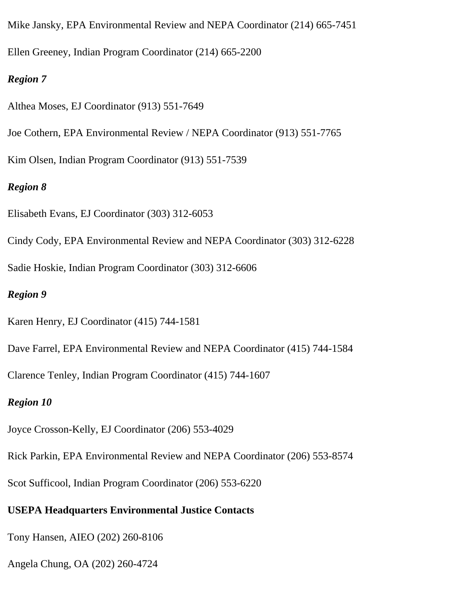Mike Jansky, EPA Environmental Review and NEPA Coordinator (214) 665-7451 Ellen Greeney, Indian Program Coordinator (214) 665-2200

#### *Region 7*

- Althea Moses, EJ Coordinator (913) 551-7649
- Joe Cothern, EPA Environmental Review / NEPA Coordinator (913) 551-7765
- Kim Olsen, Indian Program Coordinator (913) 551-7539

#### *Region 8*

- Elisabeth Evans, EJ Coordinator (303) 312-6053
- Cindy Cody, EPA Environmental Review and NEPA Coordinator (303) 312-6228
- Sadie Hoskie, Indian Program Coordinator (303) 312-6606

#### *Region 9*

- Karen Henry, EJ Coordinator (415) 744-1581
- Dave Farrel, EPA Environmental Review and NEPA Coordinator (415) 744-1584
- Clarence Tenley, Indian Program Coordinator (415) 744-1607

#### *Region 10*

- Joyce Crosson-Kelly, EJ Coordinator (206) 553-4029
- Rick Parkin, EPA Environmental Review and NEPA Coordinator (206) 553-8574
- Scot Sufficool, Indian Program Coordinator (206) 553-6220

#### **USEPA Headquarters Environmental Justice Contacts**

- Tony Hansen, AIEO (202) 260-8106
- Angela Chung, OA (202) 260-4724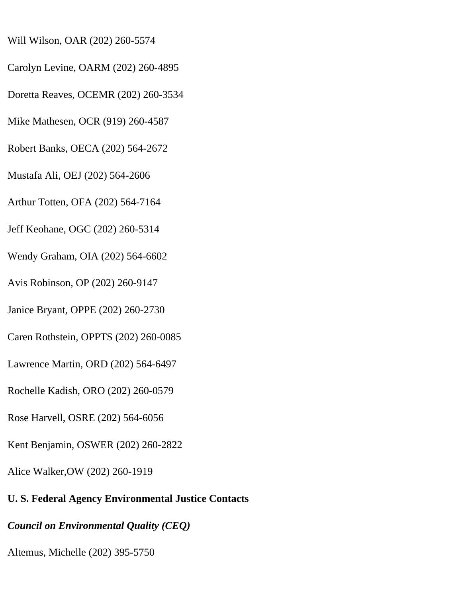- Will Wilson, OAR (202) 260-5574
- Carolyn Levine, OARM (202) 260-4895
- Doretta Reaves, OCEMR (202) 260-3534
- Mike Mathesen, OCR (919) 260-4587
- Robert Banks, OECA (202) 564-2672
- Mustafa Ali, OEJ (202) 564-2606
- Arthur Totten, OFA (202) 564-7164
- Jeff Keohane, OGC (202) 260-5314
- Wendy Graham, OIA (202) 564-6602
- Avis Robinson, OP (202) 260-9147
- Janice Bryant, OPPE (202) 260-2730
- Caren Rothstein, OPPTS (202) 260-0085
- Lawrence Martin, ORD (202) 564-6497
- Rochelle Kadish, ORO (202) 260-0579
- Rose Harvell, OSRE (202) 564-6056
- Kent Benjamin, OSWER (202) 260-2822
- Alice Walker,OW (202) 260-1919
- **U. S. Federal Agency Environmental Justice Contacts**
- *Council on Environmental Quality (CEQ)*
- Altemus, Michelle (202) 395-5750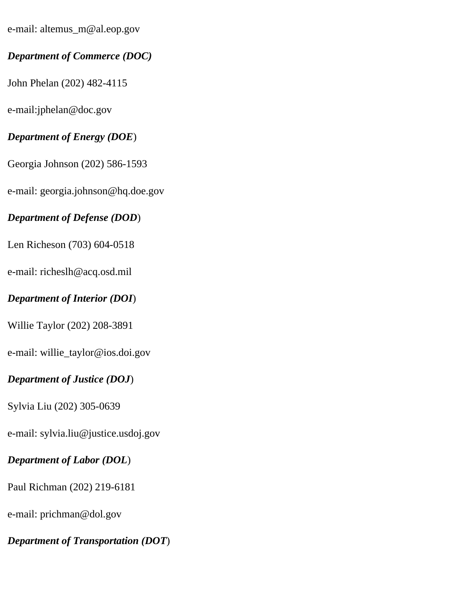e-mail: altemus\_m@al.eop.gov

## *Department of Commerce (DOC)*

John Phelan (202) 482-4115

e-mail:jphelan@doc.gov

## *Department of Energy (DOE*)

Georgia Johnson (202) 586-1593

e-mail: georgia.johnson@hq.doe.gov

## *Department of Defense (DOD*)

Len Richeson (703) 604-0518

e-mail: richeslh@acq.osd.mil

## *Department of Interior (DOI*)

Willie Taylor (202) 208-3891

e-mail: willie\_taylor@ios.doi.gov

## *Department of Justice (DOJ*)

Sylvia Liu (202) 305-0639

e-mail: sylvia.liu@justice.usdoj.gov

## *Department of Labor (DOL*)

Paul Richman (202) 219-6181

e-mail: prichman@dol.gov

*Department of Transportation (DOT*)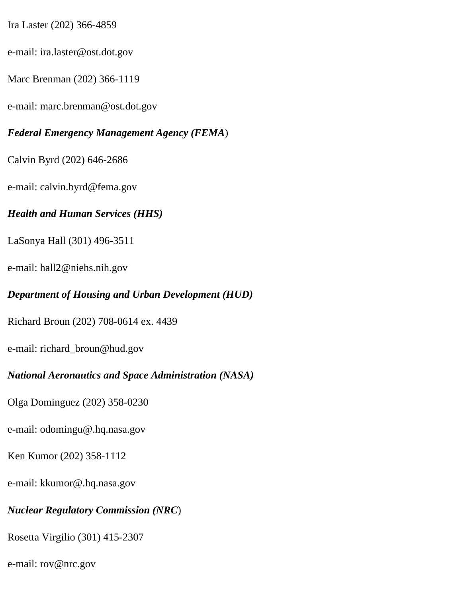Ira Laster (202) 366-4859

e-mail: ira.laster@ost.dot.gov

Marc Brenman (202) 366-1119

e-mail: marc.brenman@ost.dot.gov

*Federal Emergency Management Agency (FEMA*)

Calvin Byrd (202) 646-2686

e-mail: calvin.byrd@fema.gov

#### *Health and Human Services (HHS)*

LaSonya Hall (301) 496-3511

e-mail: hall2@niehs.nih.gov

#### *Department of Housing and Urban Development (HUD)*

Richard Broun (202) 708-0614 ex. 4439

e-mail: richard\_broun@hud.gov

#### *National Aeronautics and Space Administration (NASA)*

Olga Dominguez (202) 358-0230

e-mail: odomingu@.hq.nasa.gov

Ken Kumor (202) 358-1112

e-mail: kkumor@.hq.nasa.gov

#### *Nuclear Regulatory Commission (NRC*)

Rosetta Virgilio (301) 415-2307

e-mail: rov@nrc.gov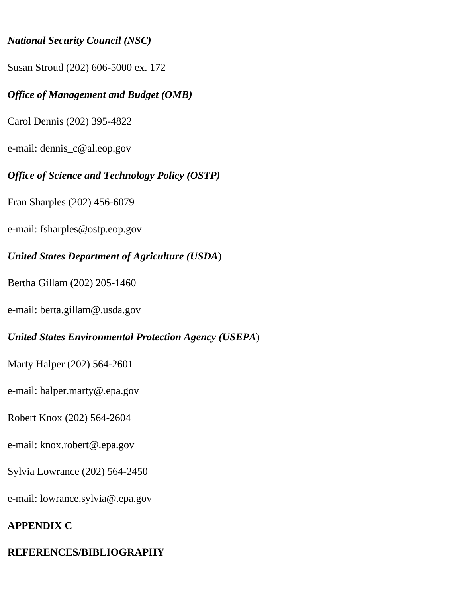#### *National Security Council (NSC)*

Susan Stroud (202) 606-5000 ex. 172

## *Office of Management and Budget (OMB)*

Carol Dennis (202) 395-4822

e-mail: dennis\_c@al.eop.gov

## *Office of Science and Technology Policy (OSTP)*

Fran Sharples (202) 456-6079

e-mail: fsharples@ostp.eop.gov

## *United States Department of Agriculture (USDA*)

Bertha Gillam (202) 205-1460

e-mail: berta.gillam@.usda.gov

## *United States Environmental Protection Agency (USEPA*)

Marty Halper (202) 564-2601

e-mail: halper.marty@.epa.gov

Robert Knox (202) 564-2604

e-mail: knox.robert@.epa.gov

Sylvia Lowrance (202) 564-2450

e-mail: lowrance.sylvia@.epa.gov

## **APPENDIX C**

# **REFERENCES/BIBLIOGRAPHY**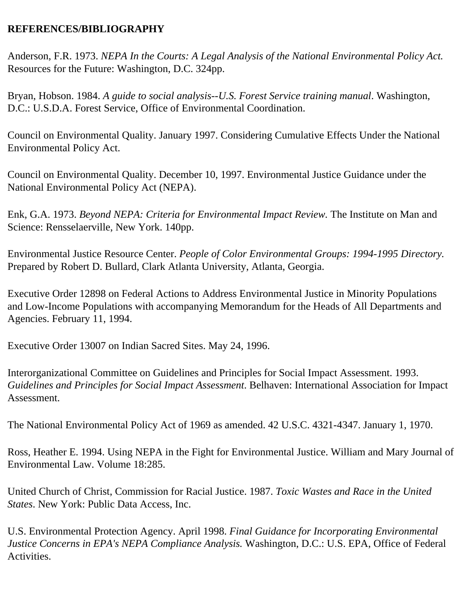#### **REFERENCES/BIBLIOGRAPHY**

Anderson, F.R. 1973. *NEPA In the Courts: A Legal Analysis of the National Environmental Policy Act.*  Resources for the Future: Washington, D.C. 324pp.

Bryan, Hobson. 1984. *A guide to social analysis--U.S. Forest Service training manual*. Washington, D.C.: U.S.D.A. Forest Service, Office of Environmental Coordination.

Council on Environmental Quality. January 1997. Considering Cumulative Effects Under the National Environmental Policy Act.

Council on Environmental Quality. December 10, 1997. Environmental Justice Guidance under the National Environmental Policy Act (NEPA).

Enk, G.A. 1973. *Beyond NEPA: Criteria for Environmental Impact Review.* The Institute on Man and Science: Rensselaerville, New York. 140pp.

Environmental Justice Resource Center. *People of Color Environmental Groups: 1994-1995 Directory.*  Prepared by Robert D. Bullard, Clark Atlanta University, Atlanta, Georgia.

Executive Order 12898 on Federal Actions to Address Environmental Justice in Minority Populations and Low-Income Populations with accompanying Memorandum for the Heads of All Departments and Agencies. February 11, 1994.

Executive Order 13007 on Indian Sacred Sites. May 24, 1996.

Interorganizational Committee on Guidelines and Principles for Social Impact Assessment. 1993. *Guidelines and Principles for Social Impact Assessment*. Belhaven: International Association for Impact Assessment.

The National Environmental Policy Act of 1969 as amended. 42 U.S.C. 4321-4347. January 1, 1970.

Ross, Heather E. 1994. Using NEPA in the Fight for Environmental Justice. William and Mary Journal of Environmental Law. Volume 18:285.

United Church of Christ, Commission for Racial Justice. 1987. *Toxic Wastes and Race in the United States*. New York: Public Data Access, Inc.

U.S. Environmental Protection Agency. April 1998. *Final Guidance for Incorporating Environmental Justice Concerns in EPA's NEPA Compliance Analysis.* Washington, D.C.: U.S. EPA, Office of Federal Activities.